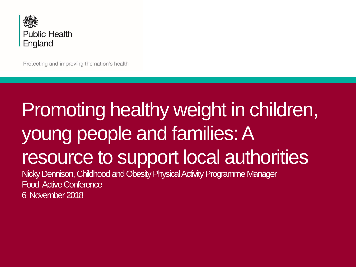

Protecting and improving the nation's health

#### Promoting healthy weight in children, young people and families: A resource to support local authorities Nicky Dennison, Childhood and Obesity Physical Activity Programme Manager Food Active Conference 6 November 2018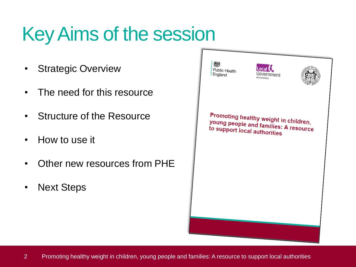# Key Aims of the session

- Strategic Overview
- The need for this resource
- Structure of the Resource
- How to use it
- Other new resources from PHE
- Next Steps

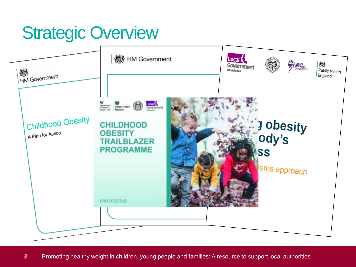#### **Strategic Overview**

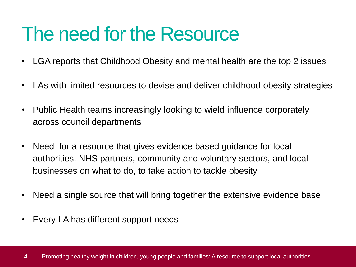#### The need for the Resource

- LGA reports that Childhood Obesity and mental health are the top 2 issues
- LAs with limited resources to devise and deliver childhood obesity strategies
- Public Health teams increasingly looking to wield influence corporately across council departments
- Need for a resource that gives evidence based guidance for local authorities, NHS partners, community and voluntary sectors, and local businesses on what to do, to take action to tackle obesity
- Need a single source that will bring together the extensive evidence base
- Every LA has different support needs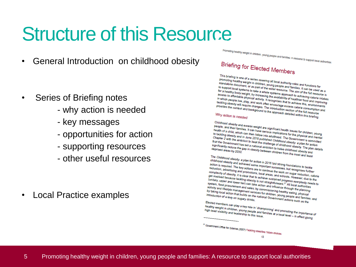### Structure of this Resource

• General Introduction on childhood obesity

- Series of Briefing notes
	- why action is needed
	- key messages
	- opportunities for action
	- supporting resources
	- other useful resources

• Local Practice examples

Promoting healthy weight in children, young people and families: A resource to support local authorities

#### Briefing for Elected Members

This briefing is one of a series covering all local authority roles and functions for<br>promoting healthy weight in children, young people and families, and functions for<br>to support local sustance as part of the wider recole This principle is one of a series covering all local authority roles and functions for<br>standalone document, or as part of the wider explicies and families. It can be used<br>to support local systems to take a whole systems .. standalone document, in children, young people and families. It dand the standalone document, or as part of the wider resource. The aim of the full used as a<br>to support local systems to take a whole systems approach to sup <sup>3</sup> standane document, or as part of the wider resource and families. It can be used as a<br>to support local systems to take a whole wider resource. The aim of the full resource for<br>for a healthy body weight, by increasing t for a healthy body weight, by increasing the wider resource. The aim of the full resource for a healthy body weight, by increasing specifies. The aim of the full resource is<br>access to affordable physical activity. It recog For a healthy body weight, by increasing the availability of health of the full resource is<br>already weight, by increasing the availability of healther food and improving<br>in which people live, play, and work often engoines size to affordable physical activity. It ecognises that to achieving calorie intake<br>in which people live, play, and work offer encourage excess calorie ord and improving<br>tackling obesity will require changes. The introduci If which people live, play, and activity. It recognises that to nealthier food and improvides the context and work often encourage excess calorie consumption.<br>Provides the context and background to the approach detailed wi sexting obesity will require changes. The introduction section of the full resource that in provides the context and background to the approach detailed within this briefing.<br>Why action is needed

Why action is needed

Childhood obesity and excess weight are significant health issues for children, young<br>health of a child, which can have serious implications for children, young<br>to tackling obesity and in the follow into adulthonal are the Unit of desity and excess weight are significant health issues for children, young<br>health of a child, which can have serious implications for the physical and mental<br>to tackling obesity and in June 2018 published children. health of a child, which can be estimated in the alth issues for children, young<br>the alth of a child, which can then follow into serious implications for the physical and young<br>to tackling obesity and in June 2018 publishe the anti-<br>the table in the can then follow into adulthood. The Government is sufficiently and in June 2018 published Childhood. The Government has been chapter?<br>Chapter 2 with the ambition to beat the challenge of childhoo Chapter 2 with the ambition to heart the physical and mental<br>Chapter 2 with the ambition to beat the challenge of childhood. The Government is committed<br>that the Government has set a national ambition to have the significa UTB published Childhood observation is commented.<br>that the Government has set a near the challenge of childhood obesity: a plan for act<br>significantly reduce the gap in obesity between childhood obesity. The plan<br>significan significantly reduce the same of the challenge of childhood obesity: a plan for actively<br>significantly reduce the gap in obesity between childhood obesity. The plan<br>deprived areas by 2030.<br>The Childhood obesity and

The Childhood obesity: a plan for action in 2016 Taid strong foundations to tackle<br>action is required. The key action in 2016 Taid strong foundations to tackle<br>reduction, advertising the key actions are to continuous sesse The Childhood obesity: a plan for action in 2016 laid strong foundations to tackle<br>action is required. The key actions are important successes, but recognises futured.<br>reduction, advertising and promotions are to continue strutunood obesity and achieved some important successes, but recognises to tackle<br>action is required. The key actions are important successes, but recognises further<br>reduction, advertising and promotions, local areas, and scrib is required. The key actions ame important successes, but recognises further<br>complexity of obesity, it is clear that to continue the work on suggests further<br>complexity of obesity, it is clear that to achiave areas, "exploring and promotions are to continue the work on strecognises further<br>omplexity of obesity, it is clear that to achiave areas, and schools. However, due to<br>get involved because tackling obesity is not strained progres complexity of obesity. It is clear to acid areas, and schools. However, due to (unitary, upper and lower tier) on take to achieve sustained progress. However, due to (unitary, upper and lower tier) can take action content ger involved because tacking obesity is not straightforward.<sup>21</sup> (unitary, upper and lower tier) can take action and influence through the straightforward.<sup>21</sup> All local authorities is the straightforward.<sup>21</sup> All local au Variancy, upper and lower tier) onesity is not straightforward.<sup>21</sup> All local authorities<br>activity and procurement and sales; by commissioning the planning<br>activity and lifestyle management services for childrence through System, food procurement and sales by commissioning.<sup>21</sup> All local authorities<br>activity and lifestyle management serior on and influence through the planning<br>by taking local action that builds on the national Government ac suctivity and lifestyle management services for commissioning healthy earling<br>by taking local action that builds on the national Government actions, physical<br>introduction of a levy on sugary drinks.<br>Elected members one of

Elected members can play a key role in 'championing' and promoting the importance of<br>healthy weight in children, young people and families at a local level – in effection<br>high level visibility and leadership to this issue. Liected members can play a key role in 'championing' and promoting the importance of healthy weight in children, young people and families at a local level – in effect giving

 $13$ 

<sup>21</sup> Government Office for Science (2007) Tackling obesities: future choices

5 Promoting healthy weight in children, young people and families: A resource to support local authorities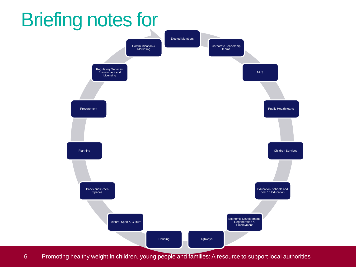#### Briefing notes for



6 Promoting healthy weight in children, young people and families: A resource to support local authorities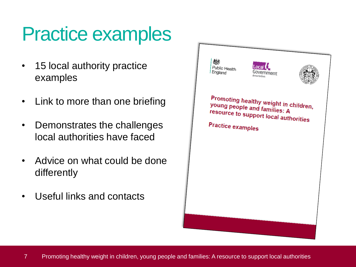## Practice examples

- 15 local authority practice examples
- Link to more than one briefing
- Demonstrates the challenges local authorities have faced
- Advice on what could be done differently
- Useful links and contacts

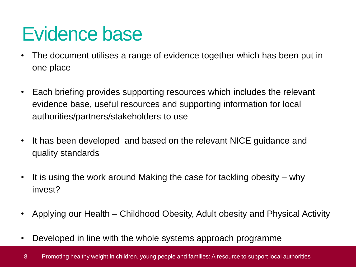#### Evidence base

- The document utilises a range of evidence together which has been put in one place
- Each briefing provides supporting resources which includes the relevant evidence base, useful resources and supporting information for local authorities/partners/stakeholders to use
- It has been developed and based on the relevant NICE guidance and quality standards
- It is using the work around Making the case for tackling obesity why invest?
- Applying our Health Childhood Obesity, Adult obesity and Physical Activity
- Developed in line with the whole systems approach programme
- 8 Promoting healthy weight in children, young people and families: A resource to support local authorities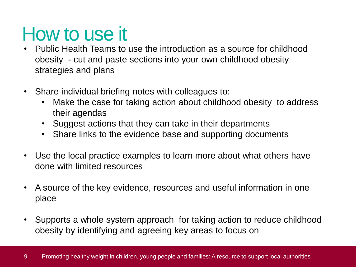#### How to use it

- Public Health Teams to use the introduction as a source for childhood obesity - cut and paste sections into your own childhood obesity strategies and plans
- Share individual briefing notes with colleagues to:
	- Make the case for taking action about childhood obesity to address their agendas
	- Suggest actions that they can take in their departments
	- Share links to the evidence base and supporting documents
- Use the local practice examples to learn more about what others have done with limited resources
- A source of the key evidence, resources and useful information in one place
- Supports a whole system approach for taking action to reduce childhood obesity by identifying and agreeing key areas to focus on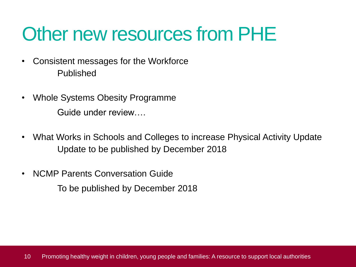### Other new resources from PHE

- Consistent messages for the Workforce Published
- Whole Systems Obesity Programme Guide under review….
- What Works in Schools and Colleges to increase Physical Activity Update Update to be published by December 2018
- NCMP Parents Conversation Guide

To be published by December 2018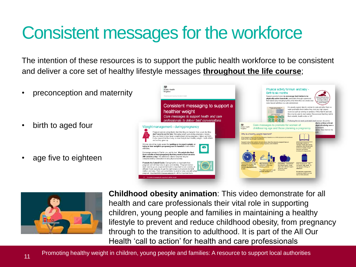#### Consistent messages for the workforce

The intention of these resources is to support the public health workforce to be consistent and deliver a core set of healthy lifestyle messages **throughout the life course**;

- preconception and maternity
- birth to aged four
- age five to eighteen





**Childhood obesity animation**: This video demonstrate for all health and care professionals their vital role in supporting children, young people and families in maintaining a healthy lifestyle to prevent and reduce childhood obesity, from pregnancy through to the transition to adulthood. It is part of the All Our Health 'call to action' for health and care professionals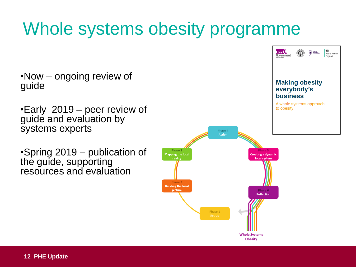#### Whole systems obesity programme

•Now – ongoing review of guide

•Early 2019 – peer review of guide and evaluation by systems experts

•Spring 2019 – publication of the guide, supporting resources and evaluation

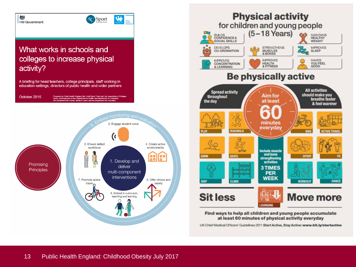#### 燃 HM Government

#### What works in schools and colleges to increase physical activity?

A briefing for head teachers, college principals, staff working in education settings, directors of public health and wider partners

October 2015 Prepared by Public Health England, the Youth Sport Trust and the Associati<mark>o</mark><br>Sport, and supported by the Department of Health; the Department for Trans<br>the Department for Culture, Media & Sport; and the Department for Edu



\$

**AC** Sport



UK Chief Medical Officers' Guidelines 2011 Start Active, Stay Active: www.bit.ly/startactive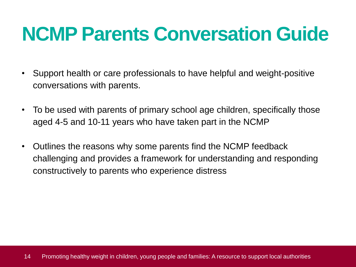## **NCMP Parents Conversation Guide**

- Support health or care professionals to have helpful and weight-positive conversations with parents.
- To be used with parents of primary school age children, specifically those aged 4-5 and 10-11 years who have taken part in the NCMP
- Outlines the reasons why some parents find the NCMP feedback challenging and provides a framework for understanding and responding constructively to parents who experience distress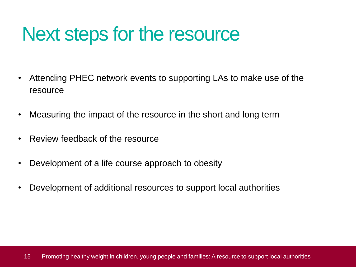#### Next steps for the resource

- Attending PHEC network events to supporting LAs to make use of the resource
- Measuring the impact of the resource in the short and long term
- Review feedback of the resource
- Development of a life course approach to obesity
- Development of additional resources to support local authorities